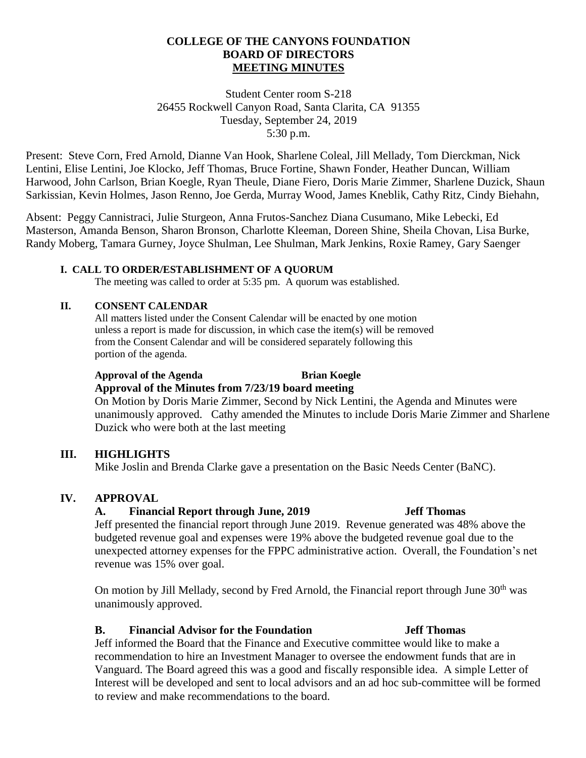## **COLLEGE OF THE CANYONS FOUNDATION BOARD OF DIRECTORS MEETING MINUTES**

Student Center room S-218 26455 Rockwell Canyon Road, Santa Clarita, CA 91355 Tuesday, September 24, 2019 5:30 p.m.

Present: Steve Corn, Fred Arnold, Dianne Van Hook, Sharlene Coleal, Jill Mellady, Tom Dierckman, Nick Lentini, Elise Lentini, Joe Klocko, Jeff Thomas, Bruce Fortine, Shawn Fonder, Heather Duncan, William Harwood, John Carlson, Brian Koegle, Ryan Theule, Diane Fiero, Doris Marie Zimmer, Sharlene Duzick, Shaun Sarkissian, Kevin Holmes, Jason Renno, Joe Gerda, Murray Wood, James Kneblik, Cathy Ritz, Cindy Biehahn,

Absent: Peggy Cannistraci, Julie Sturgeon, Anna Frutos-Sanchez Diana Cusumano, Mike Lebecki, Ed Masterson, Amanda Benson, Sharon Bronson, Charlotte Kleeman, Doreen Shine, Sheila Chovan, Lisa Burke, Randy Moberg, Tamara Gurney, Joyce Shulman, Lee Shulman, Mark Jenkins, Roxie Ramey, Gary Saenger

### **I. CALL TO ORDER/ESTABLISHMENT OF A QUORUM**

The meeting was called to order at 5:35 pm. A quorum was established.

### **II. CONSENT CALENDAR**

All matters listed under the Consent Calendar will be enacted by one motion unless a report is made for discussion, in which case the item(s) will be removed from the Consent Calendar and will be considered separately following this portion of the agenda.

### **Approval of the Agenda Brian Koegle Approval of the Minutes from 7/23/19 board meeting**

On Motion by Doris Marie Zimmer, Second by Nick Lentini, the Agenda and Minutes were unanimously approved. Cathy amended the Minutes to include Doris Marie Zimmer and Sharlene Duzick who were both at the last meeting

## **III. HIGHLIGHTS**

Mike Joslin and Brenda Clarke gave a presentation on the Basic Needs Center (BaNC).

## **IV. APPROVAL**

## **A. Financial Report through June, 2019 Jeff Thomas**

Jeff presented the financial report through June 2019. Revenue generated was 48% above the budgeted revenue goal and expenses were 19% above the budgeted revenue goal due to the unexpected attorney expenses for the FPPC administrative action. Overall, the Foundation's net revenue was 15% over goal.

On motion by Jill Mellady, second by Fred Arnold, the Financial report through June 30<sup>th</sup> was unanimously approved.

## **B. Financial Advisor for the Foundation Jeff Thomas**

Jeff informed the Board that the Finance and Executive committee would like to make a recommendation to hire an Investment Manager to oversee the endowment funds that are in Vanguard. The Board agreed this was a good and fiscally responsible idea. A simple Letter of Interest will be developed and sent to local advisors and an ad hoc sub-committee will be formed to review and make recommendations to the board.